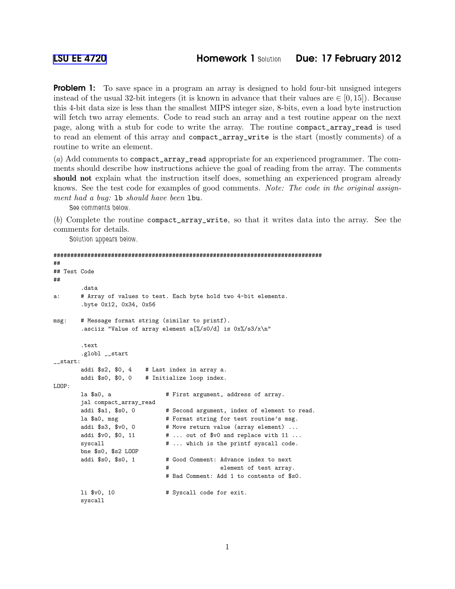**Problem 1:** To save space in a program an array is designed to hold four-bit unsigned integers instead of the usual 32-bit integers (it is known in advance that their values are  $\in [0, 15]$ ). Because this 4-bit data size is less than the smallest MIPS integer size, 8-bits, even a load byte instruction will fetch two array elements. Code to read such an array and a test routine appear on the next page, along with a stub for code to write the array. The routine compact\_array\_read is used to read an element of this array and compact\_array\_write is the start (mostly comments) of a routine to write an element.

(*a*) Add comments to compact\_array\_read appropriate for an experienced programmer. The comments should describe how instructions achieve the goal of reading from the array. The comments should not explain what the instruction itself does, something an experienced program already knows. See the test code for examples of good comments. *Note: The code in the original assignment had a bug:* lb *should have been* lbu*.*

See comments below.

(*b*) Complete the routine compact\_array\_write, so that it writes data into the array. See the comments for details.

Solution appears below.

```
###############################################################################
##
## Test Code
##
       .data
a: # Array of values to test. Each byte hold two 4-bit elements.
       .byte 0x12, 0x34, 0x56
msg: # Message format string (similar to printf).
       .asciiz "Value of array element a[%/s0/d] is 0x\sqrt{s}3/x\"
       .text
       .globl __start
__start:
       addi $s2, $0, 4 # Last index in array a.
       addi $s0, $0, 0 # Initialize loop index.
LOOP:
       la $a0, a \qquad # First argument, address of array.
       jal compact_array_read
       addi $a1, $s0, 0 # Second argument, index of element to read.
       la $a0, msg # Format string for test routine's msg.
       addi $s3, $v0, 0 # Move return value (array element) ...
       addi v0, $0, 11 v # ... out of v0 and replace with 11 ...
       syscall \qquad # ... which is the printf syscall code.
       bne $s0, $s2 LOOP
       addi $s0, $s0, 1   # Good Comment: Advance index to next
                              # element of test array.
                              # Bad Comment: Add 1 to contents of $s0.
       1i $v0, 10 \qquad # Syscall code for exit.
       syscall
```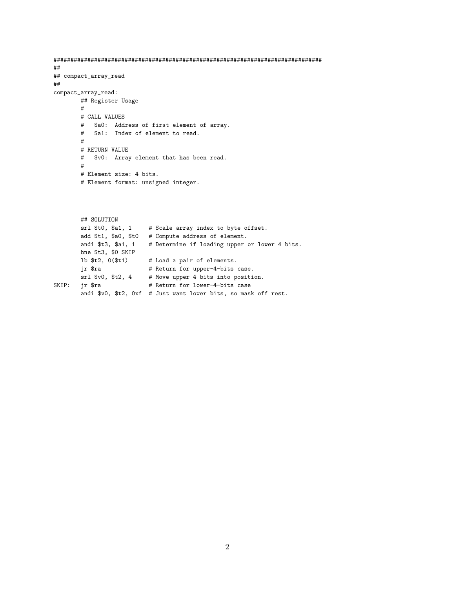```
###############################################################################
##
## compact_array_read
##
compact_array_read:
       ## Register Usage
       #
       # CALL VALUES
       # $a0: Address of first element of array.
       # $a1: Index of element to read.
       #
       # RETURN VALUE
       # $v0: Array element that has been read.
       #
       # Element size: 4 bits.
       # Element format: unsigned integer.
```

```
## SOLUTION
       srl $t0, $a1, 1 # Scale array index to byte offset.
       add $t1, $a0, $t0 # Compute address of element.
       andi $t3, $a1, 1 # Determine if loading upper or lower 4 bits.
       bne $t3, $0 SKIP
       lb $t2, 0($t1) # Load a pair of elements.
       jr $ra \qquad # Return for upper-4-bits case.
      srl $v0, $t2, 4 # Move upper 4 bits into position.
SKIP: jr $ra # Return for lower-4-bits case
       andi $v0, $t2, 0xf # Just want lower bits, so mask off rest.
```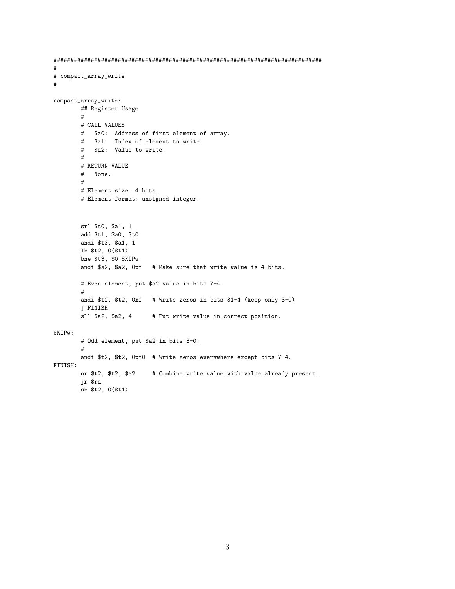```
## compact_array_write
#\verb|compact_array_write: % \begin{minipage}[c]{0.23\linewidth} \centering \end{minipage} \vspace*{-1em} \caption{The \textit{target} \textit{target} \label{eq:target} \vspace*{-1em} \vspace*{-1em} \caption{The \textit{target} \textit{target} \textit{target} \textit{target} \textit{target} \textit{target} \textit{target} \textit{target} \textit{target} \textit{target} \textit{target} \textit{target} \textit{target} \textit{target} \textit{target} \textit{target} \textit{target} \textit{target} \textit{target} \textit{target} \textit{target} \textit{target} \## Register Usage
            ## CALL VALUES
            # $a0: Address of first element of array.
            # $a1: Index of element to write.
                $a2: Value to write.
            ### RETURN VALUE
            # None.
            ## Element size: 4 bits.
            # Element format: unsigned integer.
           srl $t0, $a1, 1
           add $t1, $a0, $t0
           andi $t3, $a1, 1
           lb $t2, 0($t1)
           bne $t3, $0 SKIPw
            andi $a2, $a2, Oxf # Make sure that write value is 4 bits.
            # Even element, put $a2 value in bits 7-4.
            #andi $t2, $t2, 0xf # Write zeros in bits 31-4 (keep only 3-0)
            i FINISH
           sll $a2, $a2, 4
                                        # Put write value in correct position.
SKIPw:
            # Odd element, put $a2 in bits 3-0.
            #andi $t2, $t2, 0xf0 # Write zeros everywhere except bits 7-4.
FINISH:
            or $t2, $t2, $a2
                                        # Combine write value with value already present.
            jr $ra
            sb $t2, 0($t1)
```